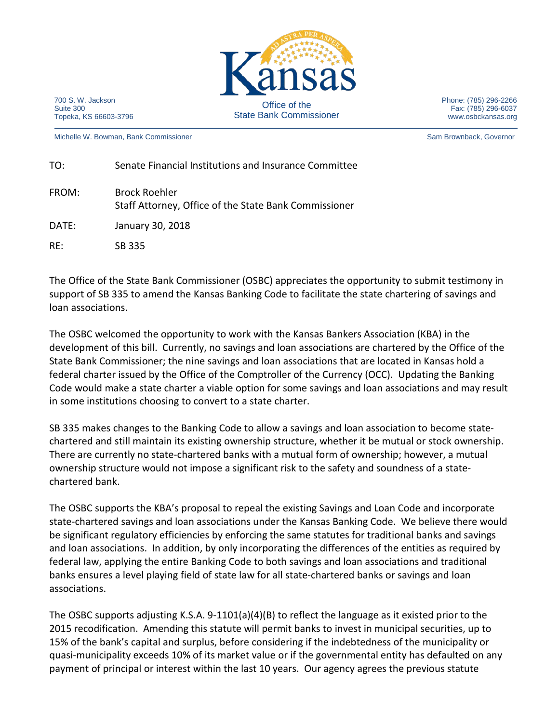

700 S. W. Jackson Suite 300 Topeka, KS 66603-3796

Michelle W. Bowman, Bank Commissioner Sam Brownback, Governor Sam Brownback, Governor

Phone: (785) 296-2266 Fax: (785) 296-6037 www.osbckansas.org

| TO:   | Senate Financial Institutions and Insurance Committee                         |
|-------|-------------------------------------------------------------------------------|
| FROM: | <b>Brock Roehler</b><br>Staff Attorney, Office of the State Bank Commissioner |
| DATE: | January 30, 2018                                                              |
| RE:   | SB 335                                                                        |

The Office of the State Bank Commissioner (OSBC) appreciates the opportunity to submit testimony in support of SB 335 to amend the Kansas Banking Code to facilitate the state chartering of savings and loan associations.

The OSBC welcomed the opportunity to work with the Kansas Bankers Association (KBA) in the development of this bill. Currently, no savings and loan associations are chartered by the Office of the State Bank Commissioner; the nine savings and loan associations that are located in Kansas hold a federal charter issued by the Office of the Comptroller of the Currency (OCC). Updating the Banking Code would make a state charter a viable option for some savings and loan associations and may result in some institutions choosing to convert to a state charter.

SB 335 makes changes to the Banking Code to allow a savings and loan association to become statechartered and still maintain its existing ownership structure, whether it be mutual or stock ownership. There are currently no state-chartered banks with a mutual form of ownership; however, a mutual ownership structure would not impose a significant risk to the safety and soundness of a statechartered bank.

The OSBC supports the KBA's proposal to repeal the existing Savings and Loan Code and incorporate state-chartered savings and loan associations under the Kansas Banking Code. We believe there would be significant regulatory efficiencies by enforcing the same statutes for traditional banks and savings and loan associations. In addition, by only incorporating the differences of the entities as required by federal law, applying the entire Banking Code to both savings and loan associations and traditional banks ensures a level playing field of state law for all state-chartered banks or savings and loan associations.

The OSBC supports adjusting K.S.A. 9-1101(a)(4)(B) to reflect the language as it existed prior to the 2015 recodification. Amending this statute will permit banks to invest in municipal securities, up to 15% of the bank's capital and surplus, before considering if the indebtedness of the municipality or quasi-municipality exceeds 10% of its market value or if the governmental entity has defaulted on any payment of principal or interest within the last 10 years. Our agency agrees the previous statute